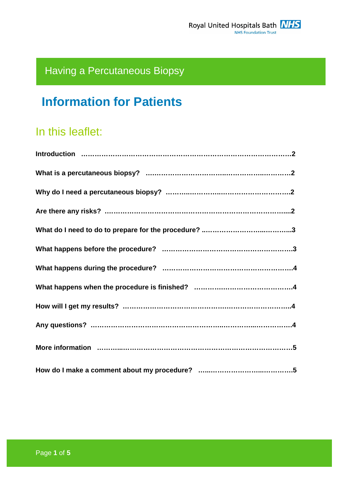# Having a Percutaneous Biopsy

# **Information for Patients**

# In this leaflet: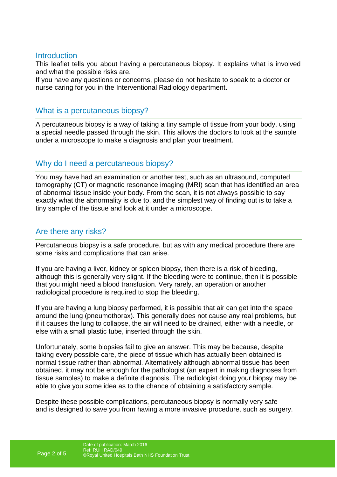#### **Introduction**

This leaflet tells you about having a percutaneous biopsy. It explains what is involved and what the possible risks are.

If you have any questions or concerns, please do not hesitate to speak to a doctor or nurse caring for you in the Interventional Radiology department.

## What is a percutaneous biopsy?

A percutaneous biopsy is a way of taking a tiny sample of tissue from your body, using a special needle passed through the skin. This allows the doctors to look at the sample under a microscope to make a diagnosis and plan your treatment.

# Why do I need a percutaneous biopsy?

You may have had an examination or another test, such as an ultrasound, computed tomography (CT) or magnetic resonance imaging (MRI) scan that has identified an area of abnormal tissue inside your body. From the scan, it is not always possible to say exactly what the abnormality is due to, and the simplest way of finding out is to take a tiny sample of the tissue and look at it under a microscope.

# Are there any risks?

Percutaneous biopsy is a safe procedure, but as with any medical procedure there are some risks and complications that can arise.

If you are having a liver, kidney or spleen biopsy, then there is a risk of bleeding, although this is generally very slight. If the bleeding were to continue, then it is possible that you might need a blood transfusion. Very rarely, an operation or another radiological procedure is required to stop the bleeding.

If you are having a lung biopsy performed, it is possible that air can get into the space around the lung (pneumothorax). This generally does not cause any real problems, but if it causes the lung to collapse, the air will need to be drained, either with a needle, or else with a small plastic tube, inserted through the skin.

Unfortunately, some biopsies fail to give an answer. This may be because, despite taking every possible care, the piece of tissue which has actually been obtained is normal tissue rather than abnormal. Alternatively although abnormal tissue has been obtained, it may not be enough for the pathologist (an expert in making diagnoses from tissue samples) to make a definite diagnosis. The radiologist doing your biopsy may be able to give you some idea as to the chance of obtaining a satisfactory sample.

Despite these possible complications, percutaneous biopsy is normally very safe and is designed to save you from having a more invasive procedure, such as surgery.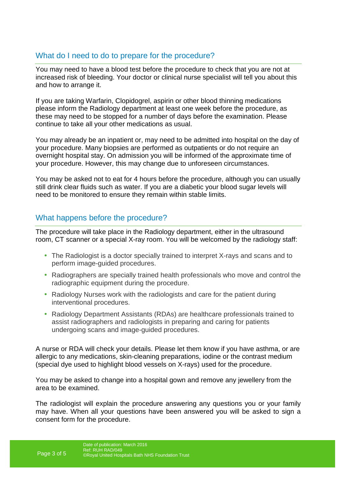# What do I need to do to prepare for the procedure?

You may need to have a blood test before the procedure to check that you are not at increased risk of bleeding. Your doctor or clinical nurse specialist will tell you about this and how to arrange it.

If you are taking Warfarin, Clopidogrel, aspirin or other blood thinning medications please inform the Radiology department at least one week before the procedure, as these may need to be stopped for a number of days before the examination. Please continue to take all your other medications as usual.

You may already be an inpatient or, may need to be admitted into hospital on the day of your procedure. Many biopsies are performed as outpatients or do not require an overnight hospital stay. On admission you will be informed of the approximate time of your procedure. However, this may change due to unforeseen circumstances.

You may be asked not to eat for 4 hours before the procedure, although you can usually still drink clear fluids such as water. If you are a diabetic your blood sugar levels will need to be monitored to ensure they remain within stable limits.

# What happens before the procedure?

The procedure will take place in the Radiology department, either in the ultrasound room, CT scanner or a special X-ray room. You will be welcomed by the radiology staff:

- The Radiologist is a doctor specially trained to interpret X-rays and scans and to perform image-guided procedures.
- Radiographers are specially trained health professionals who move and control the radiographic equipment during the procedure.
- Radiology Nurses work with the radiologists and care for the patient during interventional procedures.
- Radiology Department Assistants (RDAs) are healthcare professionals trained to assist radiographers and radiologists in preparing and caring for patients undergoing scans and image-guided procedures.

A nurse or RDA will check your details. Please let them know if you have asthma, or are allergic to any medications, skin-cleaning preparations, iodine or the contrast medium (special dye used to highlight blood vessels on X-rays) used for the procedure.

You may be asked to change into a hospital gown and remove any jewellery from the area to be examined.

The radiologist will explain the procedure answering any questions you or your family may have. When all your questions have been answered you will be asked to sign a consent form for the procedure.

Page 3 of 5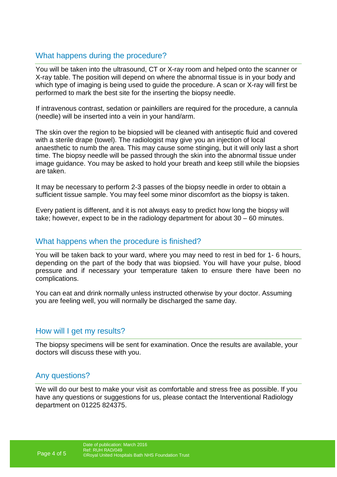# What happens during the procedure?

You will be taken into the ultrasound, CT or X-ray room and helped onto the scanner or X-ray table. The position will depend on where the abnormal tissue is in your body and which type of imaging is being used to guide the procedure. A scan or X-ray will first be performed to mark the best site for the inserting the biopsy needle.

If intravenous contrast, sedation or painkillers are required for the procedure, a cannula (needle) will be inserted into a vein in your hand/arm.

The skin over the region to be biopsied will be cleaned with antiseptic fluid and covered with a sterile drape (towel). The radiologist may give you an injection of local anaesthetic to numb the area. This may cause some stinging, but it will only last a short time. The biopsy needle will be passed through the skin into the abnormal tissue under image guidance. You may be asked to hold your breath and keep still while the biopsies are taken.

It may be necessary to perform 2-3 passes of the biopsy needle in order to obtain a sufficient tissue sample. You may feel some minor discomfort as the biopsy is taken.

Every patient is different, and it is not always easy to predict how long the biopsy will take; however, expect to be in the radiology department for about 30 – 60 minutes.

#### What happens when the procedure is finished?

You will be taken back to your ward, where you may need to rest in bed for 1- 6 hours, depending on the part of the body that was biopsied. You will have your pulse, blood pressure and if necessary your temperature taken to ensure there have been no complications.

You can eat and drink normally unless instructed otherwise by your doctor. Assuming you are feeling well, you will normally be discharged the same day.

#### How will I get my results?

The biopsy specimens will be sent for examination. Once the results are available, your doctors will discuss these with you.

#### Any questions?

We will do our best to make your visit as comfortable and stress free as possible. If you have any questions or suggestions for us, please contact the Interventional Radiology department on 01225 824375.